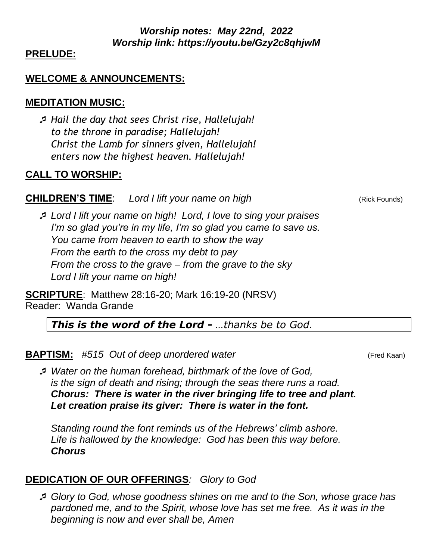### **PRELUDE:**

# **WELCOME & ANNOUNCEMENTS:**

### **MEDITATION MUSIC:**

 *Hail the day that sees Christ rise, Hallelujah! to the throne in paradise; Hallelujah! Christ the Lamb for sinners given, Hallelujah! enters now the highest heaven. Hallelujah!*

# **CALL TO WORSHIP:**

**CHILDREN'S TIME:** *Lord I lift your name on high (Rick Founds)* 

 *Lord I lift your name on high! Lord, I love to sing your praises I'm so glad you're in my life, I'm so glad you came to save us. You came from heaven to earth to show the way From the earth to the cross my debt to pay From the cross to the grave – from the grave to the sky Lord I lift your name on high!*

**SCRIPTURE**: Matthew 28:16-20; Mark 16:19-20 (NRSV) Reader: Wanda Grande

*This is the word of the Lord - …thanks be to God.*

# **BAPTISM:** #515 Out of deep unordered water **EXAPTISM:** (Fred Kaan)

 *Water on the human forehead, birthmark of the love of God, is the sign of death and rising; through the seas there runs a road. Chorus: There is water in the river bringing life to tree and plant. Let creation praise its giver: There is water in the font.*

*Standing round the font reminds us of the Hebrews' climb ashore. Life is hallowed by the knowledge: God has been this way before. Chorus*

# **DEDICATION OF OUR OFFERINGS***: Glory to God*

 *Glory to God, whose goodness shines on me and to the Son, whose grace has pardoned me, and to the Spirit, whose love has set me free. As it was in the beginning is now and ever shall be, Amen*